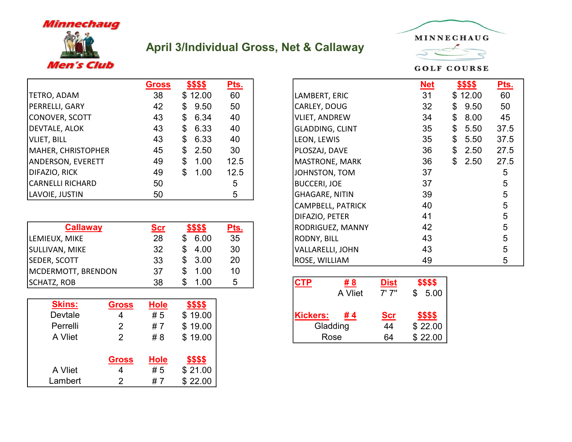

## April 3/Individual Gross, Net & Callaway



**GOLF COURSE** 

|                         | <b>Gross</b> | \$\$\$\$   | Pts. |                        | <u>Net</u> | \$\$\$\$               | Pts. |
|-------------------------|--------------|------------|------|------------------------|------------|------------------------|------|
| <b>TETRO, ADAM</b>      | 38           | \$12.00    | 60   | LAMBERT, ERIC          | 31         | \$12.00                | 60   |
| <b>PERRELLI, GARY</b>   | 42           | 9.50<br>\$ | 50   | CARLEY, DOUG           | 32         | \$<br>9.50             | 50   |
| CONOVER, SCOTT          | 43           | 6.34<br>\$ | 40   | <b>VLIET, ANDREW</b>   | 34         | \$<br>8.00             | 45   |
| DEVTALE, ALOK           | 43           | 6.33<br>\$ | 40   | <b>GLADDING, CLINT</b> | 35         | 5.50<br>\$             | 37.5 |
| VLIET, BILL             | 43           | 6.33<br>\$ | 40   | LEON, LEWIS            | 35         | \$<br>5.50             | 37.5 |
| MAHER, CHRISTOPHER      | 45           | 2.50<br>\$ | 30   | PLOSZAJ, DAVE          | 36         | $\mathfrak{L}$<br>2.50 | 27.5 |
| ANDERSON, EVERETT       | 49           | 1.00<br>\$ | 12.5 | <b>MASTRONE, MARK</b>  | 36         | \$<br>2.50             | 27.5 |
| DIFAZIO, RICK           | 49           | \$<br>1.00 | 12.5 | JOHNSTON, TOM          | 37         |                        |      |
| <b>CARNELLI RICHARD</b> | 50           |            | 5    | <b>BUCCERI, JOE</b>    | 37         |                        |      |
| LAVOIE, JUSTIN          | 50           |            | 5    | <b>GHAGARE, NITIN</b>  | 39         |                        | 5    |

|                           |            |                   |             | _ _ . _ . _ . _                              |  |
|---------------------------|------------|-------------------|-------------|----------------------------------------------|--|
| <b>Callaway</b>           | <u>Scr</u> | \$\$\$\$          | <u>Pts.</u> | 42<br>RODRIGUEZ, MANNY                       |  |
| LEMIEUX, MIKE             | 28         | 6.00<br>\$        | 35          | 43<br><b>RODNY, BILL</b>                     |  |
| SULLIVAN, MIKE            | 32         | 4.00<br>\$        | 30          | 43<br>VALLARELLI, JOHN                       |  |
| <b>SEDER, SCOTT</b>       | 33         | 3.00<br>\$        | 20          | 49<br>ROSE, WILLIAM                          |  |
| <b>MCDERMOTT, BRENDON</b> | 37         | $\overline{0.00}$ | 10          |                                              |  |
| SCHATZ, ROB               | 38         | . .00             | 5           | \$\$\$\$<br><b>CTP</b><br><b>Dist</b><br># 8 |  |

| <b>Skins:</b> | Gross        | <b>Hole</b> | \$\$\$\$ |
|---------------|--------------|-------------|----------|
| Devtale       | 4            | # 5         | \$19.00  |
| Perrelli      | 2            | #7          | \$19.00  |
| A Vliet       | 2            | # 8         | \$19.00  |
|               | <b>Gross</b> | <b>Hole</b> | \$\$\$\$ |
| A Vliet       | 4            | # 5         | \$21.00  |
| Lambert       | 2            | # 7         | \$22.00  |

| <u>Gross</u> | \$\$\$\$   | <u>Pts.</u> |                          | <u>Net</u> | \$\$\$\$   | <u>Pts.</u> |
|--------------|------------|-------------|--------------------------|------------|------------|-------------|
| 38           | \$12.00    | 60          | LAMBERT, ERIC            | 31         | \$12.00    | 60          |
| 42           | \$<br>9.50 | 50          | CARLEY, DOUG             | 32         | \$<br>9.50 | 50          |
| 43           | \$<br>6.34 | 40          | <b>VLIET, ANDREW</b>     | 34         | \$<br>8.00 | 45          |
| 43           | \$<br>6.33 | 40          | <b>GLADDING, CLINT</b>   | 35         | \$<br>5.50 | 37.5        |
| 43           | \$<br>6.33 | 40          | LEON, LEWIS              | 35         | \$<br>5.50 | 37.5        |
| 45           | \$<br>2.50 | 30          | PLOSZAJ, DAVE            | 36         | \$<br>2.50 | 27.5        |
| 49           | \$<br>1.00 | 12.5        | <b>MASTRONE, MARK</b>    | 36         | \$<br>2.50 | 27.5        |
| 49           | \$<br>1.00 | 12.5        | JOHNSTON, TOM            | 37         |            | 5           |
| 50           |            | 5           | <b>BUCCERI, JOE</b>      | 37         |            | 5           |
| 50           |            | 5           | <b>GHAGARE, NITIN</b>    | 39         |            | 5           |
|              |            |             | <b>CAMPBELL, PATRICK</b> | 40         |            | 5           |
|              |            |             | DIFAZIO, PETER           | 41         |            | 5           |
| <u>Scr</u>   | \$\$\$\$   | <u>Pts.</u> | RODRIGUEZ, MANNY         | 42         |            | 5           |
| 28           | 6.00<br>\$ | 35          | RODNY, BILL              | 43         |            | 5           |
| 32           | \$<br>4.00 | 30          | VALLARELLI, JOHN         | 43         |            | 5           |
| 33           | \$<br>3.00 | 20          | ROSE, WILLIAM            | 49         |            | 5           |

|                | 38          | 1.00     | 5 | CTP      | #8      | <b>Dist</b> | \$\$\$\$ |
|----------------|-------------|----------|---|----------|---------|-------------|----------|
|                |             |          |   |          | A Vliet | 7'7''       | 5.00     |
| <u>OSS</u>     | <b>Hole</b> | \$\$\$\$ |   |          |         |             |          |
| 4              | #5          | \$19.00  |   | Kickers: | #4      | <u>Scr</u>  | \$\$\$\$ |
| 2              | #7          | \$19.00  |   | Gladding |         | 44          | \$22.00  |
| $\overline{2}$ | #8          | \$19.00  |   | Rose     |         | 64          | \$22.00  |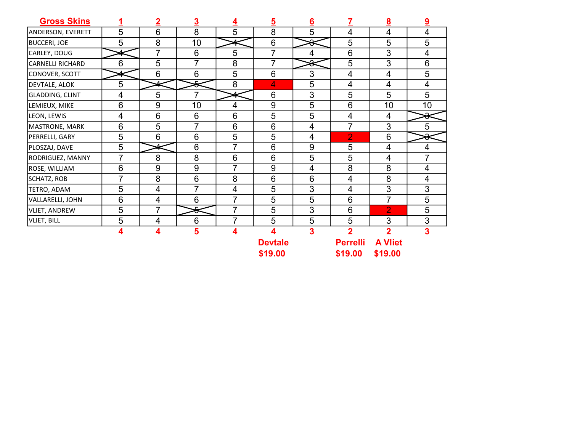| <b>Gross Skins</b>      | 1               | 2                       | 3              | 4               | 5                         | $6\phantom{1}6$         |                            | $\underline{8}$           | 9              |
|-------------------------|-----------------|-------------------------|----------------|-----------------|---------------------------|-------------------------|----------------------------|---------------------------|----------------|
| ANDERSON, EVERETT       | 5               | 6                       | 8              | 5               | 8                         | 5                       | $\overline{4}$             | 4                         | 4              |
| <b>BUCCERI, JOE</b>     | 5               | 8                       | 10             |                 | $6\phantom{1}$            | $\bar{\ast}$            | $\overline{5}$             | 5                         | 5              |
| CARLEY, DOUG            |                 | 7                       | 6              | 5               | 7                         | $\overline{4}$          | $6\phantom{1}6$            | 3                         | 4              |
| <b>CARNELLI RICHARD</b> | $6\phantom{1}6$ | 5                       | 7              | 8               | 7                         | €                       | $\overline{5}$             | 3                         | 6              |
| CONOVER, SCOTT          |                 | $6\phantom{1}$          | 6              | 5               | 6                         | 3                       | 4                          | 4                         | 5              |
| DEVTALE, ALOK           | 5               |                         | 5              | 8               | 4                         | 5                       | 4                          | 4                         | 4              |
| <b>GLADDING, CLINT</b>  | $\overline{4}$  | 5                       | 7              |                 | 6                         | 3                       | 5                          | 5                         | 5              |
| LEMIEUX, MIKE           | $6\phantom{1}6$ | 9                       | 10             | $\overline{4}$  | $9\,$                     | $\overline{5}$          | $6\phantom{1}6$            | 10                        | 10             |
| LEON, LEWIS             | $\overline{4}$  | 6                       | 6              | 6               | $\overline{5}$            | 5                       | $\overline{4}$             | $\overline{4}$            | $\Omega$       |
| MASTRONE, MARK          | 6               | 5                       | 7              | 6               | 6                         | $\overline{4}$          | $\overline{7}$             | 3                         | 5              |
| PERRELLI, GARY          | 5               | 6                       | 6              | 5               | 5                         | 4                       | $\overline{2}$             | 6                         | ◠              |
| PLOSZAJ, DAVE           | $\overline{5}$  | 4                       | 6              | $\overline{7}$  | 6                         | 9                       | 5                          | 4                         | $\overline{4}$ |
| RODRIGUEZ, MANNY        | 7               | 8                       | 8              | $6\phantom{1}6$ | 6                         | $\overline{5}$          | 5                          | $\overline{4}$            | 7              |
| ROSE, WILLIAM           | $6\phantom{1}6$ | 9                       | 9              | $\overline{7}$  | 9                         | $\overline{4}$          | 8                          | 8                         | $\overline{4}$ |
| SCHATZ, ROB             | 7               | 8                       | 6              | 8               | $6\phantom{1}6$           | $6\phantom{1}6$         | $\overline{4}$             | 8                         | 4              |
| TETRO, ADAM             | 5               | 4                       | $\overline{7}$ | 4               | 5                         | 3                       | 4                          | 3                         | 3              |
| VALLARELLI, JOHN        | $6\phantom{1}6$ | 4                       | 6              | 7               | 5                         | 5                       | $6\phantom{1}6$            | $\overline{7}$            | 5              |
| VLIET, ANDREW           | 5               | 7                       | ÷              | $\overline{7}$  | 5                         | 3                       | $6\phantom{1}6$            | 2                         | 5              |
| <b>VLIET, BILL</b>      | 5               | $\overline{\mathbf{4}}$ | 6              | $\overline{7}$  | $\overline{5}$            | 5                       | $\overline{5}$             | 3                         | 3              |
|                         | 4               | 4                       | 5              | 4               | 4                         | $\overline{\mathbf{3}}$ | $\overline{2}$             | $\overline{2}$            | 3              |
|                         |                 |                         |                |                 | <b>Devtale</b><br>\$19.00 |                         | <b>Perrelli</b><br>\$19.00 | <b>A Vliet</b><br>\$19.00 |                |